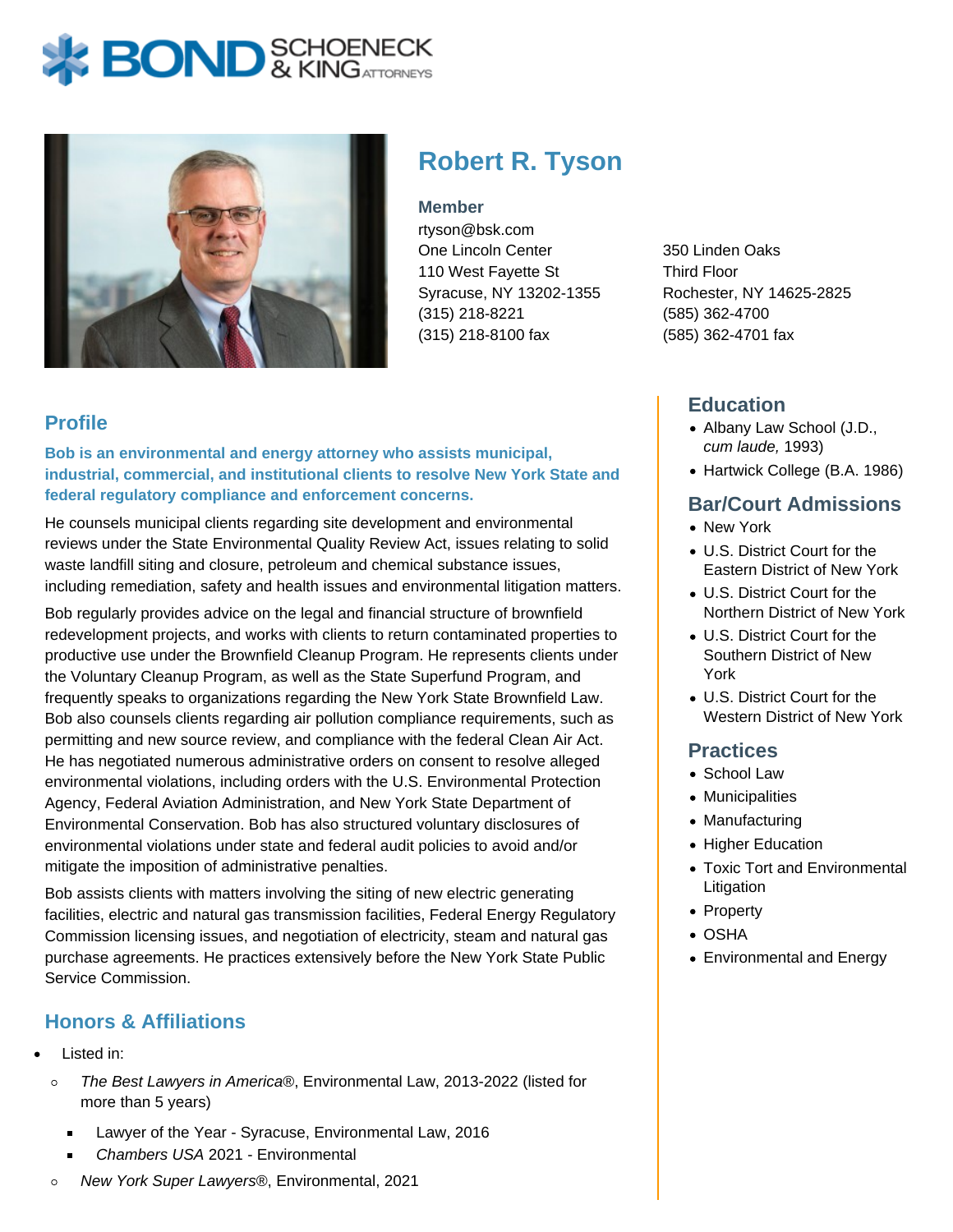# **BOND** & KINGATTORNECK



## **Robert R. Tyson**

#### **Member**

rtyson@bsk.com One Lincoln Center 110 West Fayette St Syracuse, NY 13202-1355 (315) 218-8221 (315) 218-8100 fax

350 Linden Oaks Third Floor Rochester, NY 14625-2825 (585) 362-4700 (585) 362-4701 fax

## **Education**

- Albany Law School (J.D., cum laude, 1993)
- Hartwick College (B.A. 1986)

#### **Bar/Court Admissions**

- New York
- U.S. District Court for the Eastern District of New York
- U.S. District Court for the Northern District of New York
- U.S. District Court for the Southern District of New York
- U.S. District Court for the Western District of New York

#### **Practices**

- School Law
- Municipalities
- Manufacturing
- Higher Education
- Toxic Tort and Environmental Litigation
- Property
- OSHA
- Environmental and Energy

#### **Profile**

**Bob is an environmental and energy attorney who assists municipal, industrial, commercial, and institutional clients to resolve New York State and federal regulatory compliance and enforcement concerns.**

He counsels municipal clients regarding site development and environmental reviews under the State Environmental Quality Review Act, issues relating to solid waste landfill siting and closure, petroleum and chemical substance issues, including remediation, safety and health issues and environmental litigation matters.

Bob regularly provides advice on the legal and financial structure of brownfield redevelopment projects, and works with clients to return contaminated properties to productive use under the Brownfield Cleanup Program. He represents clients under the Voluntary Cleanup Program, as well as the State Superfund Program, and frequently speaks to organizations regarding the New York State Brownfield Law. Bob also counsels clients regarding air pollution compliance requirements, such as permitting and new source review, and compliance with the federal Clean Air Act. He has negotiated numerous administrative orders on consent to resolve alleged environmental violations, including orders with the U.S. Environmental Protection Agency, Federal Aviation Administration, and New York State Department of Environmental Conservation. Bob has also structured voluntary disclosures of environmental violations under state and federal audit policies to avoid and/or mitigate the imposition of administrative penalties.

Bob assists clients with matters involving the siting of new electric generating facilities, electric and natural gas transmission facilities, Federal Energy Regulatory Commission licensing issues, and negotiation of electricity, steam and natural gas purchase agreements. He practices extensively before the New York State Public Service Commission.

### **Honors & Affiliations**

- Listed in:
	- The Best Lawyers in America®, Environmental Law, 2013-2022 (listed for  $\circ$ more than 5 years)
		- Lawyer of the Year Syracuse, Environmental Law, 2016
		- Chambers USA 2021 Environmental
	- New York Super Lawyers®, Environmental, 2021  $\circ$